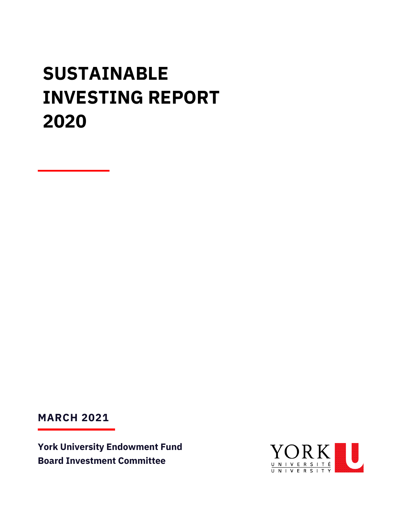# **SUSTAINABLE INVESTING REPORT 2020**

**MARCH 2021**

**York University Endowment Fund Board Investment Committee**

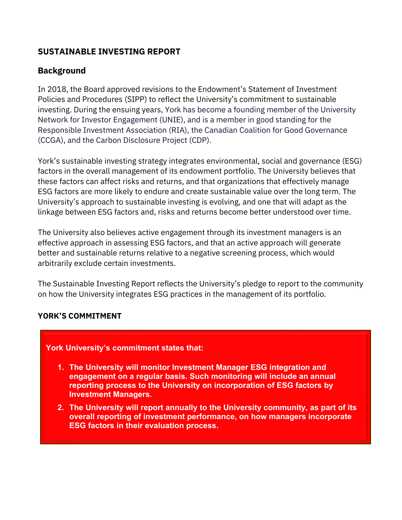# **SUSTAINABLE INVESTING REPORT**

# **Background**

In 2018, the Board approved revisions to the Endowment's Statement of Investment Policies and Procedures (SIPP) to reflect the University's commitment to sustainable investing. During the ensuing years, York has become a founding member of the University Network for Investor Engagement (UNIE), and is a member in good standing for the Responsible Investment Association (RIA), the Canadian Coalition for Good Governance (CCGA), and the Carbon Disclosure Project (CDP).

York's sustainable investing strategy integrates environmental, social and governance (ESG) factors in the overall management of its endowment portfolio. The University believes that these factors can affect risks and returns, and that organizations that effectively manage ESG factors are more likely to endure and create sustainable value over the long term. The University's approach to sustainable investing is evolving, and one that will adapt as the linkage between ESG factors and, risks and returns become better understood over time.

The University also believes active engagement through its investment managers is an effective approach in assessing ESG factors, and that an active approach will generate better and sustainable returns relative to a negative screening process, which would arbitrarily exclude certain investments.

The Sustainable Investing Report reflects the University's pledge to report to the community on how the University integrates ESG practices in the management of its portfolio.

#### **YORK'S COMMITMENT**

#### **York University's commitment states that:**

- **1. The University will monitor Investment Manager ESG integration and engagement on a regular basis. Such monitoring will include an annual reporting process to the University on incorporation of ESG factors by Investment Managers.**
- **2. The University will report annually to the University community, as part of its overall reporting of investment performance, on how managers incorporate ESG factors in their evaluation process.**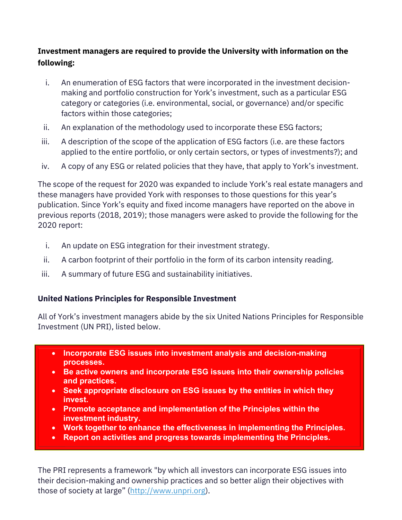# **Investment managers are required to provide the University with information on the following:**

- i. An enumeration of ESG factors that were incorporated in the investment decisionmaking and portfolio construction for York's investment, such as a particular ESG category or categories (i.e. environmental, social, or governance) and/or specific factors within those categories;
- ii. An explanation of the methodology used to incorporate these ESG factors;
- iii. A description of the scope of the application of ESG factors (i.e. are these factors applied to the entire portfolio, or only certain sectors, or types of investments?); and
- iv. A copy of any ESG or related policies that they have, that apply to York's investment.

The scope of the request for 2020 was expanded to include York's real estate managers and these managers have provided York with responses to those questions for this year's publication. Since York's equity and fixed income managers have reported on the above in previous reports (2018, 2019); those managers were asked to provide the following for the 2020 report:

- i. An update on ESG integration for their investment strategy.
- ii. A carbon footprint of their portfolio in the form of its carbon intensity reading.
- iii. A summary of future ESG and sustainability initiatives.

# **United Nations Principles for Responsible Investment**

All of York's investment managers abide by the six United Nations Principles for Responsible Investment (UN PRI), listed below.

- **Incorporate ESG issues into investment analysis and decision-making processes.**
- **Be active owners and incorporate ESG issues into their ownership policies and practices.**
- **Seek appropriate disclosure on ESG issues by the entities in which they invest.**
- **Promote acceptance and implementation of the Principles within the investment industry.**
- **Work together to enhance the effectiveness in implementing the Principles.**
- **Report on activities and progress towards implementing the Principles.**

The PRI represents a framework "by which all investors can incorporate ESG issues into their decision-making and ownership practices and so better align their objectives with those of society at large" [\(http://www.unpri.org\)](http://www.unpri.org/).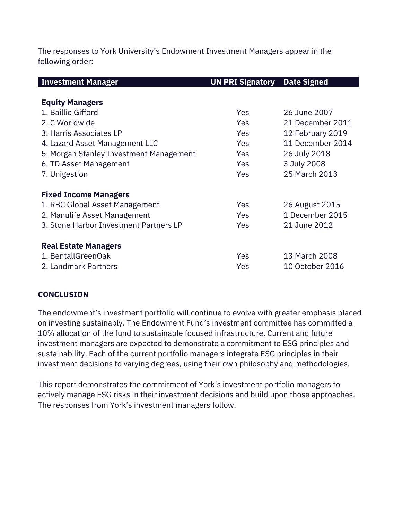The responses to York University's Endowment Investment Managers appear in the following order:

| <b>Investment Manager</b>               | <b>UN PRI Signatory</b> | <b>Date Signed</b> |
|-----------------------------------------|-------------------------|--------------------|
|                                         |                         |                    |
| <b>Equity Managers</b>                  |                         |                    |
| 1. Baillie Gifford                      | <b>Yes</b>              | 26 June 2007       |
| 2. C Worldwide                          | Yes                     | 21 December 2011   |
| 3. Harris Associates LP                 | Yes                     | 12 February 2019   |
| 4. Lazard Asset Management LLC          | Yes                     | 11 December 2014   |
| 5. Morgan Stanley Investment Management | Yes                     | 26 July 2018       |
| 6. TD Asset Management                  | <b>Yes</b>              | 3 July 2008        |
| 7. Unigestion                           | Yes                     | 25 March 2013      |
| <b>Fixed Income Managers</b>            |                         |                    |
| 1. RBC Global Asset Management          | Yes                     | 26 August 2015     |
| 2. Manulife Asset Management            | <b>Yes</b>              | 1 December 2015    |
| 3. Stone Harbor Investment Partners LP  | Yes                     | 21 June 2012       |
| <b>Real Estate Managers</b>             |                         |                    |
| 1. BentallGreenOak                      | Yes                     | 13 March 2008      |
| 2. Landmark Partners                    | Yes                     | 10 October 2016    |

#### **CONCLUSION**

The endowment's investment portfolio will continue to evolve with greater emphasis placed on investing sustainably. The Endowment Fund's investment committee has committed a 10% allocation of the fund to sustainable focused infrastructure. Current and future investment managers are expected to demonstrate a commitment to ESG principles and sustainability. Each of the current portfolio managers integrate ESG principles in their investment decisions to varying degrees, using their own philosophy and methodologies.

This report demonstrates the commitment of York's investment portfolio managers to actively manage ESG risks in their investment decisions and build upon those approaches. The responses from York's investment managers follow.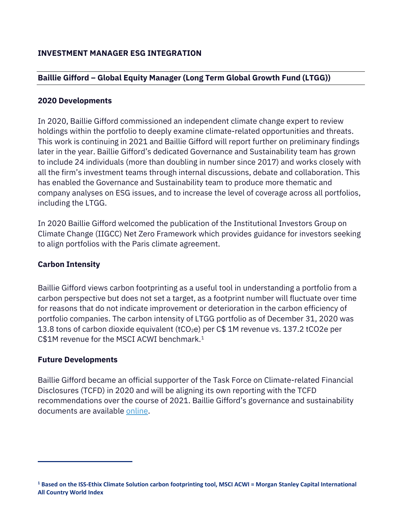# **Baillie Gifford – Global Equity Manager (Long Term Global Growth Fund (LTGG))**

#### **2020 Developments**

In 2020, Baillie Gifford commissioned an independent climate change expert to review holdings within the portfolio to deeply examine climate-related opportunities and threats. This work is continuing in 2021 and Baillie Gifford will report further on preliminary findings later in the year. Baillie Gifford's dedicated Governance and Sustainability team has grown to include 24 individuals (more than doubling in number since 2017) and works closely with all the firm's investment teams through internal discussions, debate and collaboration. This has enabled the Governance and Sustainability team to produce more thematic and company analyses on ESG issues, and to increase the level of coverage across all portfolios, including the LTGG.

In 2020 Baillie Gifford welcomed the publication of the Institutional Investors Group on Climate Change (IIGCC) Net Zero Framework which provides guidance for investors seeking to align portfolios with the Paris climate agreement.

#### **Carbon Intensity**

Baillie Gifford views carbon footprinting as a useful tool in understanding a portfolio from a carbon perspective but does not set a target, as a footprint number will fluctuate over time for reasons that do not indicate improvement or deterioration in the carbon efficiency of portfolio companies. The carbon intensity of LTGG portfolio as of December 31, 2020 was 13.8 tons of carbon dioxide equivalent ( $tCO<sub>2</sub>e$ ) per C\$ 1M revenue vs. 137.2 tCO2e per C\$1M revenue for the MSCI ACWI benchmark. [1](#page-5-0)

#### **Future Developments**

Baillie Gifford became an official supporter of the Task Force on Climate-related Financial Disclosures (TCFD) in 2020 and will be aligning its own reporting with the TCFD recommendations over the course of 2021. Baillie Gifford's governance and sustainability documents are available [online.](https://www.bailliegifford.com/en/uk/about-us/governance-sustainability/)

<span id="page-5-0"></span>**<sup>1</sup> Based on the ISS-Ethix Climate Solution carbon footprinting tool, MSCI ACWI = Morgan Stanley Capital International All Country World Index**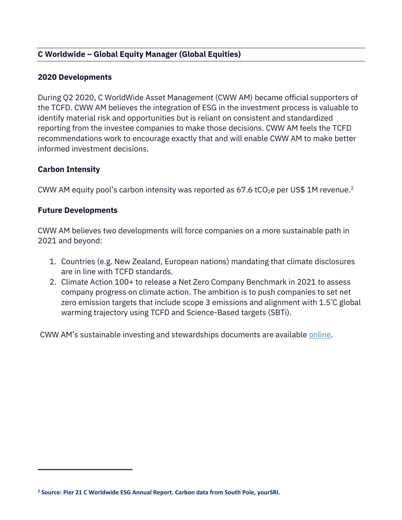## **C Worldwide – Global Equity Manager (Global Equities)**

#### **2020 Developments**

During Q2 2020, C WorldWide Asset Management (CWW AM) became official supporters of the TCFD. CWW AM believes the integration of ESG in the investment process is valuable to identify material risk and opportunities but is reliant on consistent and standardized reporting from the investee companies to make those decisions. CWW AM feels the TCFD recommendations work to encourage exactly that and will enable CWW AM to make better informed investment decisions.

#### **Carbon Intensity**

CWW AM equity pool's carbon intensity was reported as 67.6 tCO<sub>[2](#page-6-0)</sub>e per US\$ 1M revenue.<sup>2</sup>

#### **Future Developments**

CWW AM believes two developments will force companies on a more sustainable path in 2021 and beyond:

- 1. Countries (e.g. New Zealand, European nations) mandating that climate disclosures are in line with TCFD standards.
- 2. Climate Action 100+ to release a Net Zero Company Benchmark in 2021 to assess company progress on climate action. The ambition is to push companies to set net zero emission targets that include scope 3 emissions and alignment with 1.5º C global warming trajectory using TCFD and Science-Based targets (SBTi).

CWW AM's sustainable investing and stewardships documents are available [online.](https://cworldwide.com/downloads/sustainable-investing-and-stewardship/)

<span id="page-6-0"></span>**<sup>2</sup> Source: Pier 21 C Worldwide ESG Annual Report. Carbon data from South Pole, yourSRI.**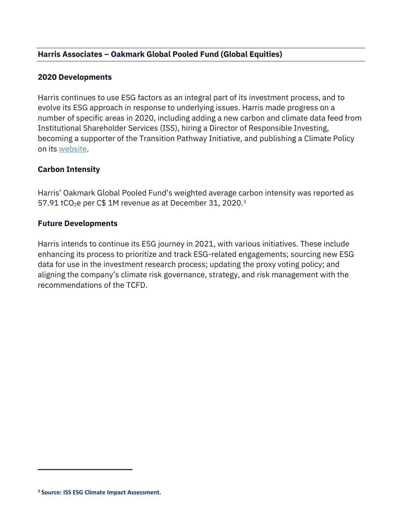# **Harris Associates – Oakmark Global Pooled Fund (Global Equities)**

#### **2020 Developments**

Harris continues to use ESG factors as an integral part of its investment process, and to evolve its ESG approach in response to underlying issues. Harris made progress on a number of specific areas in 2020, including adding a new carbon and climate data feed from Institutional Shareholder Services (ISS), hiring a Director of Responsible Investing, becoming a supporter of the Transition Pathway Initiative, and publishing a Climate Policy on its [website.](https://oakmark.com/who-we-are/responsible-investing/)

#### **Carbon Intensity**

Harris' Oakmark Global Pooled Fund's weighted average carbon intensity was reported as  $57.91$  tCO<sub>2</sub>e per C\$ 1M revenue as at December [3](#page-7-0)1, 2020.<sup>3</sup>

#### **Future Developments**

Harris intends to continue its ESG journey in 2021, with various initiatives. These include enhancing its process to prioritize and track ESG-related engagements; sourcing new ESG data for use in the investment research process; updating the proxy voting policy; and aligning the company's climate risk governance, strategy, and risk management with the recommendations of the TCFD.

<span id="page-7-0"></span>**<sup>3</sup> Source: ISS ESG Climate Impact Assessment.**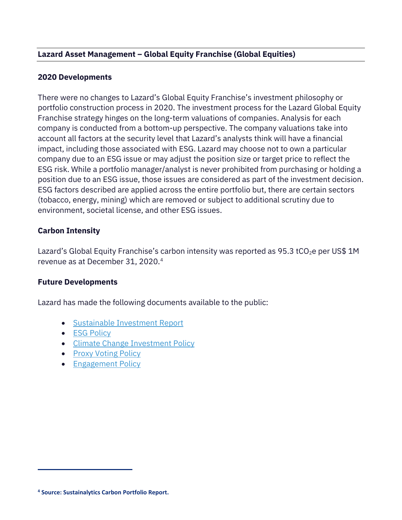# **Lazard Asset Management – Global Equity Franchise (Global Equities)**

#### **2020 Developments**

There were no changes to Lazard's Global Equity Franchise's investment philosophy or portfolio construction process in 2020. The investment process for the Lazard Global Equity Franchise strategy hinges on the long-term valuations of companies. Analysis for each company is conducted from a bottom-up perspective. The company valuations take into account all factors at the security level that Lazard's analysts think will have a financial impact, including those associated with ESG. Lazard may choose not to own a particular company due to an ESG issue or may adjust the position size or target price to reflect the ESG risk. While a portfolio manager/analyst is never prohibited from purchasing or holding a position due to an ESG issue, those issues are considered as part of the investment decision. ESG factors described are applied across the entire portfolio but, there are certain sectors (tobacco, energy, mining) which are removed or subject to additional scrutiny due to environment, societal license, and other ESG issues.

#### **Carbon Intensity**

Lazard's Global Equity Franchise's carbon intensity was reported as 95.3 tCO<sub>2</sub>e per US\$ 1M revenue as at December 31, 2020. [4](#page-8-0)

#### **Future Developments**

Lazard has made the following documents available to the public:

- [Sustainable Investment Report](https://www.lazardassetmanagement.com/docs/-m0-/106599/AnnualSustainableInvestmentReport2020_en.pdf)
- [ESG Policy](file://vfadmin.yorku.yorku.ca/vpfc/Treasury%20Dept/Investments%20&%20IC/IC%20-%20Meetings%20-%20PREPS/2020-21/3.%202021%2003%2022%20Meeting%20Preps/o%09https:/www.lazardassetmanagement.com/docs/-m0-/669/LazardESGPolicy_en.pdf)
- [Climate Change Investment Policy](https://www.lazardassetmanagement.com/docs/-m0-/101883/ClimateChangePolicy_en.pdf)
- **[Proxy Voting Policy](https://www.lazardassetmanagement.com/docs/-m0-/16376/LazardProxyVotingPolicyAndProcedures_en.pdf)**
- [Engagement Policy](https://www.lazardassetmanagement.com/docs/-m0-/88455/SRDIIEngagementPolicy_en.pdf)

<span id="page-8-0"></span>**<sup>4</sup> Source: Sustainalytics Carbon Portfolio Report.**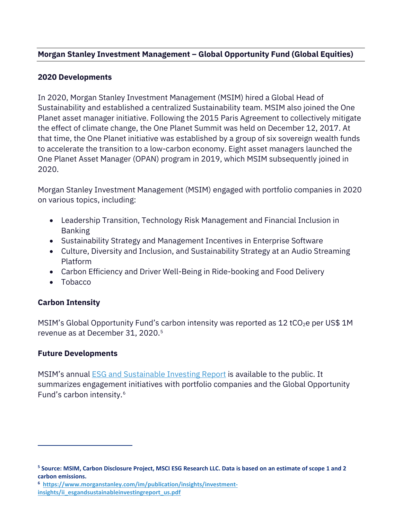# **Morgan Stanley Investment Management – Global Opportunity Fund (Global Equities)**

#### **2020 Developments**

In 2020, Morgan Stanley Investment Management (MSIM) hired a Global Head of Sustainability and established a centralized Sustainability team. MSIM also joined the One Planet asset manager initiative. Following the 2015 Paris Agreement to collectively mitigate the effect of climate change, the One Planet Summit was held on December 12, 2017. At that time, the One Planet initiative was established by a group of six sovereign wealth funds to accelerate the transition to a low-carbon economy. Eight asset managers launched the One Planet Asset Manager (OPAN) program in 2019, which MSIM subsequently joined in 2020.

Morgan Stanley Investment Management (MSIM) engaged with portfolio companies in 2020 on various topics, including:

- Leadership Transition, Technology Risk Management and Financial Inclusion in Banking
- Sustainability Strategy and Management Incentives in Enterprise Software
- Culture, Diversity and Inclusion, and Sustainability Strategy at an Audio Streaming Platform
- Carbon Efficiency and Driver Well-Being in Ride-booking and Food Delivery
- Tobacco

# **Carbon Intensity**

MSIM's Global Opportunity Fund's carbon intensity was reported as 12 tCO<sub>2</sub>e per US\$ 1M revenue as at December 31, 2020. [5](#page-9-0)

#### **Future Developments**

MSIM's annual [ESG and Sustainable Investing Report](https://www.morganstanley.com/im/publication/insights/investment-insights/ii_esgandsustainableinvestingreport_us.pdf) is available to the public. It summarizes engagement initiatives with portfolio companies and the Global Opportunity Fund's carbon intensity.[6](#page-9-1)

<span id="page-9-0"></span>**<sup>5</sup> Source: MSIM, Carbon Disclosure Project, MSCI ESG Research LLC. Data is based on an estimate of scope 1 and 2 carbon emissions.**

<span id="page-9-1"></span>**<sup>6</sup>  [https://www.morganstanley.com/im/publication/insights/investment](https://www.morganstanley.com/im/publication/insights/investment-insights/ii_esgandsustainableinvestingreport_us.pdf)[insights/ii\\_esgandsustainableinvestingreport\\_us.pdf](https://www.morganstanley.com/im/publication/insights/investment-insights/ii_esgandsustainableinvestingreport_us.pdf)**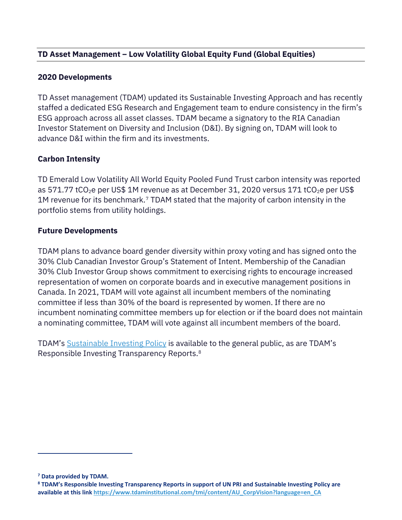# **TD Asset Management – Low Volatility Global Equity Fund (Global Equities)**

#### **2020 Developments**

TD Asset management (TDAM) updated its Sustainable Investing Approach and has recently staffed a dedicated ESG Research and Engagement team to endure consistency in the firm's ESG approach across all asset classes. TDAM became a signatory to the RIA Canadian Investor Statement on Diversity and Inclusion (D&I). By signing on, TDAM will look to advance D&I within the firm and its investments.

#### **Carbon Intensity**

TD Emerald Low Volatility All World Equity Pooled Fund Trust carbon intensity was reported as 571.77 tCO<sub>2</sub>e per US\$ 1M revenue as at December 31, 2020 versus 171 tCO<sub>2</sub>e per US\$ 1M revenue for its benchmark. [7](#page-10-0) TDAM stated that the majority of carbon intensity in the portfolio stems from utility holdings.

#### **Future Developments**

TDAM plans to advance board gender diversity within proxy voting and has signed onto the 30% Club Canadian Investor Group's Statement of Intent. Membership of the Canadian 30% Club Investor Group shows commitment to exercising rights to encourage increased representation of women on corporate boards and in executive management positions in Canada. In 2021, TDAM will vote against all incumbent members of the nominating committee if less than 30% of the board is represented by women. If there are no incumbent nominating committee members up for election or if the board does not maintain a nominating committee, TDAM will vote against all incumbent members of the board.

TDAM's [Sustainable Investing Policy](https://www.tdaminstitutional.com/tmi/pdfs/Sustainable%20Investing%20Approach.pdf) is available to the general public, as are TDAM's Responsible Investing Transparency Reports[.8](#page-10-1)

<span id="page-10-0"></span>**<sup>7</sup> Data provided by TDAM.**

<span id="page-10-1"></span>**<sup>8</sup> TDAM's Responsible Investing Transparency Reports in support of UN PRI and Sustainable Investing Policy are available at this lin[k https://www.tdaminstitutional.com/tmi/content/AU\\_CorpVision?language=en\\_CA](https://www.tdaminstitutional.com/tmi/content/AU_CorpVision?language=en_CA)**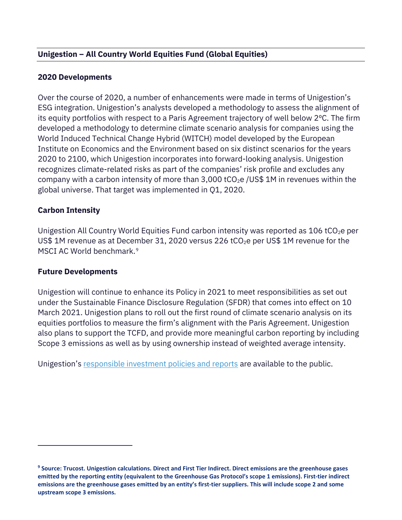# **Unigestion – All Country World Equities Fund (Global Equities)**

#### **2020 Developments**

Over the course of 2020, a number of enhancements were made in terms of Unigestion's ESG integration. Unigestion's analysts developed a methodology to assess the alignment of its equity portfolios with respect to a Paris Agreement trajectory of well below 2ºC. The firm developed a methodology to determine climate scenario analysis for companies using the World Induced Technical Change Hybrid (WITCH) model developed by the European Institute on Economics and the Environment based on six distinct scenarios for the years 2020 to 2100, which Unigestion incorporates into forward-looking analysis. Unigestion recognizes climate-related risks as part of the companies' risk profile and excludes any company with a carbon intensity of more than 3,000 tCO<sub>2</sub>e /US\$ 1M in revenues within the global universe. That target was implemented in Q1, 2020.

#### **Carbon Intensity**

Unigestion All Country World Equities Fund carbon intensity was reported as 106 tCO<sub>2</sub>e per US\$ 1M revenue as at December 31, 2020 versus 226 tCO<sub>2</sub>e per US\$ 1M revenue for the MSCI AC World benchmark. [9](#page-11-0)

#### **Future Developments**

Unigestion will continue to enhance its Policy in 2021 to meet responsibilities as set out under the Sustainable Finance Disclosure Regulation (SFDR) that comes into effect on 10 March 2021. Unigestion plans to roll out the first round of climate scenario analysis on its equities portfolios to measure the firm's alignment with the Paris Agreement. Unigestion also plans to support the TCFD, and provide more meaningful carbon reporting by including Scope 3 emissions as well as by using ownership instead of weighted average intensity.

Unigestion's [responsible investment policies and reports](https://www.unigestion.com/philosophy/our-investment-philosophy/our-commitment-to-society/) are available to the public.

<span id="page-11-0"></span>**<sup>9</sup> Source: Trucost. Unigestion calculations. Direct and First Tier Indirect. Direct emissions are the greenhouse gases emitted by the reporting entity (equivalent to the Greenhouse Gas Protocol's scope 1 emissions). First-tier indirect emissions are the greenhouse gases emitted by an entity's first-tier suppliers. This will include scope 2 and some upstream scope 3 emissions.**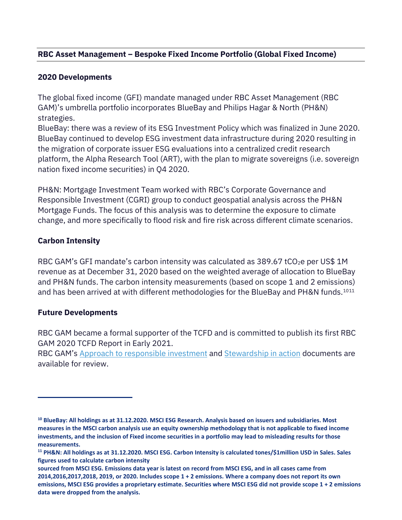# **RBC Asset Management – Bespoke Fixed Income Portfolio (Global Fixed Income)**

#### **2020 Developments**

The global fixed income (GFI) mandate managed under RBC Asset Management (RBC GAM)'s umbrella portfolio incorporates BlueBay and Philips Hagar & North (PH&N) strategies.

BlueBay: there was a review of its ESG Investment Policy which was finalized in June 2020. BlueBay continued to develop ESG investment data infrastructure during 2020 resulting in the migration of corporate issuer ESG evaluations into a centralized credit research platform, the Alpha Research Tool (ART), with the plan to migrate sovereigns (i.e. sovereign nation fixed income securities) in Q4 2020.

PH&N: Mortgage Investment Team worked with RBC's Corporate Governance and Responsible Investment (CGRI) group to conduct geospatial analysis across the PH&N Mortgage Funds. The focus of this analysis was to determine the exposure to climate change, and more specifically to flood risk and fire risk across different climate scenarios.

#### **Carbon Intensity**

RBC GAM's GFI mandate's carbon intensity was calculated as 389.67 tCO<sub>2</sub>e per US\$ 1M revenue as at December 31, 2020 based on the weighted average of allocation to BlueBay and PH&N funds. The carbon intensity measurements (based on scope 1 and 2 emissions) and has been arrived at with different methodologies for the BlueBay and PH&N funds.<sup>[10](#page-12-0)[11](#page-12-1)</sup>

#### **Future Developments**

RBC GAM became a formal supporter of the TCFD and is committed to publish its first RBC GAM 2020 TCFD Report in Early 2021.

RBC GAM's [Approach to responsible investment](https://www.rbcgam.com/documents/en/articles/approach-to-responsible-investment.pdf) and [Stewardship in action](https://www.rbcgam.com/documents/en/other/2019-semi-annual-report.pdf) documents are available for review.

<span id="page-12-0"></span>**<sup>10</sup> BlueBay: All holdings as at 31.12.2020. MSCI ESG Research. Analysis based on issuers and subsidiaries. Most measures in the MSCI carbon analysis use an equity ownership methodology that is not applicable to fixed income investments, and the inclusion of Fixed income securities in a portfolio may lead to misleading results for those measurements.** 

<span id="page-12-1"></span>**<sup>11</sup> PH&N: All holdings as at 31.12.2020. MSCI ESG. Carbon Intensity is calculated tones/\$1million USD in Sales. Sales figures used to calculate carbon intensity**

**sourced from MSCI ESG. Emissions data year is latest on record from MSCI ESG, and in all cases came from 2014,2016,2017,2018, 2019, or 2020. Includes scope 1 + 2 emissions. Where a company does not report its own emissions, MSCI ESG provides a proprietary estimate. Securities where MSCI ESG did not provide scope 1 + 2 emissions data were dropped from the analysis.**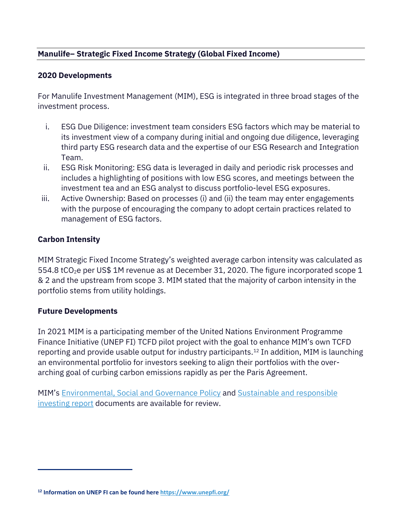# **Manulife– Strategic Fixed Income Strategy (Global Fixed Income)**

#### **2020 Developments**

For Manulife Investment Management (MIM), ESG is integrated in three broad stages of the investment process.

- i. ESG Due Diligence: investment team considers ESG factors which may be material to its investment view of a company during initial and ongoing due diligence, leveraging third party ESG research data and the expertise of our ESG Research and Integration Team.
- ii. ESG Risk Monitoring: ESG data is leveraged in daily and periodic risk processes and includes a highlighting of positions with low ESG scores, and meetings between the investment tea and an ESG analyst to discuss portfolio-level ESG exposures.
- iii. Active Ownership: Based on processes (i) and (ii) the team may enter engagements with the purpose of encouraging the company to adopt certain practices related to management of ESG factors.

#### **Carbon Intensity**

MIM Strategic Fixed Income Strategy's weighted average carbon intensity was calculated as 554.8 tCO<sub>2</sub>e per US\$ 1M revenue as at December 31, 2020. The figure incorporated scope 1 & 2 and the upstream from scope 3. MIM stated that the majority of carbon intensity in the portfolio stems from utility holdings.

#### **Future Developments**

In 2021 MIM is a participating member of the United Nations Environment Programme Finance Initiative (UNEP FI) TCFD pilot project with the goal to enhance MIM's own TCFD reporting and provide usable output for industry participants.<sup>[12](#page-13-0)</sup> In addition, MIM is launching an environmental portfolio for investors seeking to align their portfolios with the overarching goal of curbing carbon emissions rapidly as per the Paris Agreement.

MIM's [Environmental, Social and Governance Policy](https://www.manulifeam.com/About-Us/Manulife-ESG-Policy/) and [Sustainable and responsible](https://www.manulifeam.com/Research-and-Insights/Documents/2019-08-Sustainable-Investment-Report-2018-En/)  [investing report](https://www.manulifeam.com/Research-and-Insights/Documents/2019-08-Sustainable-Investment-Report-2018-En/) documents are available for review.

<span id="page-13-0"></span>**<sup>12</sup> Information on UNEP FI can be found her[e https://www.unepfi.org/](https://www.unepfi.org/)**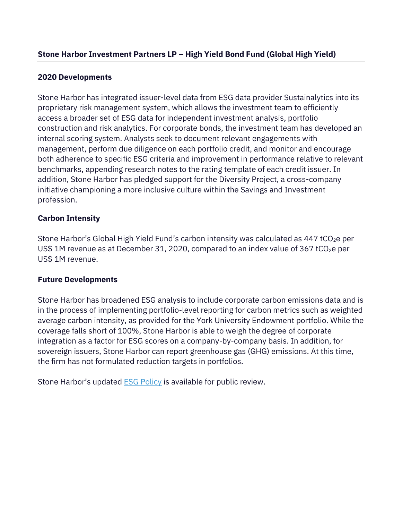# **Stone Harbor Investment Partners LP – High Yield Bond Fund (Global High Yield)**

#### **2020 Developments**

Stone Harbor has integrated issuer-level data from ESG data provider Sustainalytics into its proprietary risk management system, which allows the investment team to efficiently access a broader set of ESG data for independent investment analysis, portfolio construction and risk analytics. For corporate bonds, the investment team has developed an internal scoring system. Analysts seek to document relevant engagements with management, perform due diligence on each portfolio credit, and monitor and encourage both adherence to specific ESG criteria and improvement in performance relative to relevant benchmarks, appending research notes to the rating template of each credit issuer. In addition, Stone Harbor has pledged support for the Diversity Project, a cross-company initiative championing a more inclusive culture within the Savings and Investment profession.

#### **Carbon Intensity**

Stone Harbor's Global High Yield Fund's carbon intensity was calculated as  $447 \text{ tCO}_2$ e per US\$ 1M revenue as at December 31, 2020, compared to an index value of 367 tCO<sub>2</sub>e per US\$ 1M revenue.

#### **Future Developments**

Stone Harbor has broadened ESG analysis to include corporate carbon emissions data and is in the process of implementing portfolio-level reporting for carbon metrics such as weighted average carbon intensity, as provided for the York University Endowment portfolio. While the coverage falls short of 100%, Stone Harbor is able to weigh the degree of corporate integration as a factor for ESG scores on a company-by-company basis. In addition, for sovereign issuers, Stone Harbor can report greenhouse gas (GHG) emissions. At this time, the firm has not formulated reduction targets in portfolios.

Stone Harbor's updated **[ESG Policy](https://www.shiplp.com/wp-content/uploads/Stone-Harbor-ESG-Policy-November-2020.pdf)** is available for public review.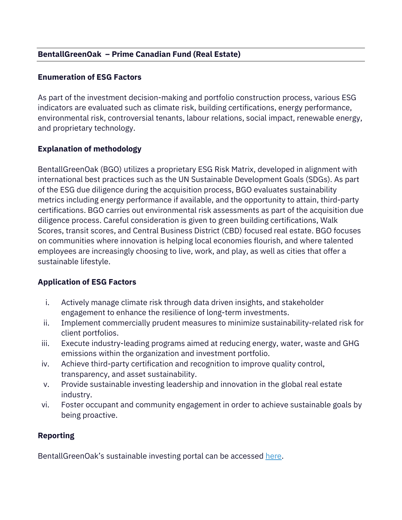# **BentallGreenOak – Prime Canadian Fund (Real Estate)**

#### **Enumeration of ESG Factors**

As part of the investment decision-making and portfolio construction process, various ESG indicators are evaluated such as climate risk, building certifications, energy performance, environmental risk, controversial tenants, labour relations, social impact, renewable energy, and proprietary technology.

# **Explanation of methodology**

BentallGreenOak (BGO) utilizes a proprietary ESG Risk Matrix, developed in alignment with international best practices such as the UN Sustainable Development Goals (SDGs). As part of the ESG due diligence during the acquisition process, BGO evaluates sustainability metrics including energy performance if available, and the opportunity to attain, third-party certifications. BGO carries out environmental risk assessments as part of the acquisition due diligence process. Careful consideration is given to green building certifications, Walk Scores, transit scores, and Central Business District (CBD) focused real estate. BGO focuses on communities where innovation is helping local economies flourish, and where talented employees are increasingly choosing to live, work, and play, as well as cities that offer a sustainable lifestyle.

#### **Application of ESG Factors**

- i. Actively manage climate risk through data driven insights, and stakeholder engagement to enhance the resilience of long-term investments.
- ii. Implement commercially prudent measures to minimize sustainability-related risk for client portfolios.
- iii. Execute industry-leading programs aimed at reducing energy, water, waste and GHG emissions within the organization and investment portfolio.
- iv. Achieve third-party certification and recognition to improve quality control, transparency, and asset sustainability.
- v. Provide sustainable investing leadership and innovation in the global real estate industry.
- vi. Foster occupant and community engagement in order to achieve sustainable goals by being proactive.

#### **Reporting**

BentallGreenOak's sustainable investing portal can be accessed [here.](https://www.bentallgreenoak.com/sustainable-investing.php)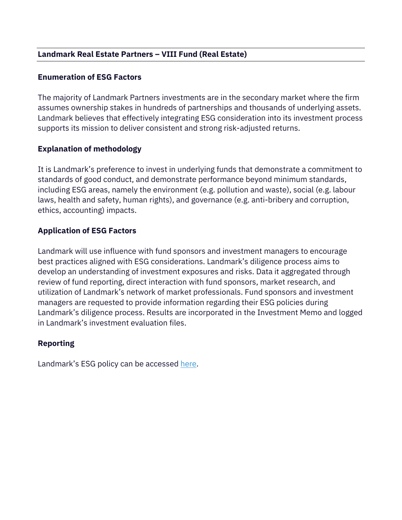# **Landmark Real Estate Partners – VIII Fund (Real Estate)**

#### **Enumeration of ESG Factors**

The majority of Landmark Partners investments are in the secondary market where the firm assumes ownership stakes in hundreds of partnerships and thousands of underlying assets. Landmark believes that effectively integrating ESG consideration into its investment process supports its mission to deliver consistent and strong risk-adjusted returns.

# **Explanation of methodology**

It is Landmark's preference to invest in underlying funds that demonstrate a commitment to standards of good conduct, and demonstrate performance beyond minimum standards, including ESG areas, namely the environment (e.g. pollution and waste), social (e.g. labour laws, health and safety, human rights), and governance (e.g. anti-bribery and corruption, ethics, accounting) impacts.

# **Application of ESG Factors**

Landmark will use influence with fund sponsors and investment managers to encourage best practices aligned with ESG considerations. Landmark's diligence process aims to develop an understanding of investment exposures and risks. Data it aggregated through review of fund reporting, direct interaction with fund sponsors, market research, and utilization of Landmark's network of market professionals. Fund sponsors and investment managers are requested to provide information regarding their ESG policies during Landmark's diligence process. Results are incorporated in the Investment Memo and logged in Landmark's investment evaluation files.

# **Reporting**

Landmark's ESG policy can be accessed [here.](https://www.landmarkpartners.com/esg)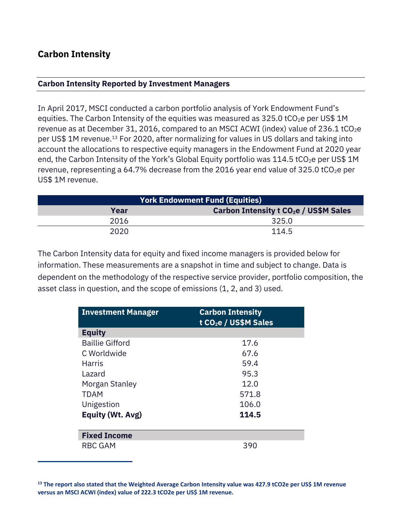# **Carbon Intensity**

#### **Carbon Intensity Reported by Investment Managers**

In April 2017, MSCI conducted a carbon portfolio analysis of York Endowment Fund's equities. The Carbon Intensity of the equities was measured as  $325.0$  tCO<sub>2</sub>e per US\$ 1M revenue as at December 31, 2016, compared to an MSCI ACWI (index) value of 236.1 tCO<sub>2</sub>e per US\$ 1M revenue. [13](#page-17-0) For 2020, after normalizing for values in US dollars and taking into account the allocations to respective equity managers in the Endowment Fund at 2020 year end, the Carbon Intensity of the York's Global Equity portfolio was  $114.5$  tCO<sub>2</sub>e per US\$ 1M revenue, representing a 64.7% decrease from the 2016 year end value of 325.0 tCO<sub>2</sub>e per US\$ 1M revenue.

| <b>York Endowment Fund (Equities)</b> |                                                         |  |
|---------------------------------------|---------------------------------------------------------|--|
| Year                                  | <b>Carbon Intensity t CO<sub>2</sub>e / US\$M Sales</b> |  |
| 2016                                  | 325.0                                                   |  |
| 2020                                  | 114.5                                                   |  |

The Carbon Intensity data for equity and fixed income managers is provided below for information. These measurements are a snapshot in time and subject to change. Data is dependent on the methodology of the respective service provider, portfolio composition, the asset class in question, and the scope of emissions (1, 2, and 3) used.

| <b>Investment Manager</b> | <b>Carbon Intensity</b><br>t CO <sub>2</sub> e / US\$M Sales |
|---------------------------|--------------------------------------------------------------|
| <b>Equity</b>             |                                                              |
| <b>Baillie Gifford</b>    | 17.6                                                         |
| C Worldwide               | 67.6                                                         |
| <b>Harris</b>             | 59.4                                                         |
| Lazard                    | 95.3                                                         |
| Morgan Stanley            | 12.0                                                         |
| <b>TDAM</b>               | 571.8                                                        |
| Unigestion                | 106.0                                                        |
| <b>Equity (Wt. Avg)</b>   | 114.5                                                        |
| <b>Fixed Income</b>       |                                                              |
| <b>RBC GAM</b>            | 390                                                          |

<span id="page-17-0"></span>**<sup>13</sup> The report also stated that the Weighted Average Carbon Intensity value was 427.9 tCO2e per US\$ 1M revenue versus an MSCI ACWI (index) value of 222.3 tCO2e per US\$ 1M revenue.**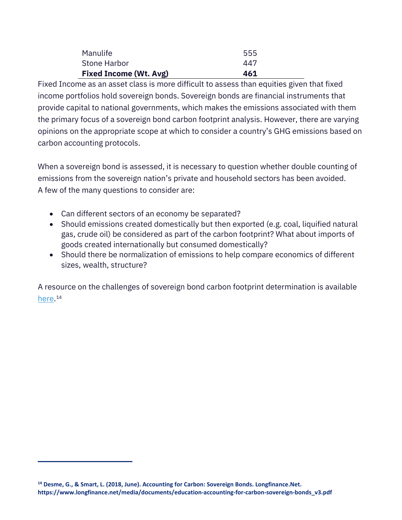| <b>Fixed Income (Wt. Avg)</b> | 461 |
|-------------------------------|-----|
| Stone Harbor                  | 447 |
| Manulife                      | 555 |

Fixed Income as an asset class is more difficult to assess than equities given that fixed income portfolios hold sovereign bonds. Sovereign bonds are financial instruments that provide capital to national governments, which makes the emissions associated with them the primary focus of a sovereign bond carbon footprint analysis. However, there are varying opinions on the appropriate scope at which to consider a country's GHG emissions based on carbon accounting protocols.

When a sovereign bond is assessed, it is necessary to question whether double counting of emissions from the sovereign nation's private and household sectors has been avoided. A few of the many questions to consider are:

- Can different sectors of an economy be separated?
- Should emissions created domestically but then exported (e.g. coal, liquified natural gas, crude oil) be considered as part of the carbon footprint? What about imports of goods created internationally but consumed domestically?
- Should there be normalization of emissions to help compare economics of different sizes, wealth, structure?

A resource on the challenges of sovereign bond carbon footprint determination is available [here.](https://www.longfinance.net/media/documents/education-accounting-for-carbon-sovereign-bonds_v3.pdf)<sup>[14](#page-18-0)</sup>

<span id="page-18-0"></span>**<sup>14</sup> Desme, G., & Smart, L. (2018, June). Accounting for Carbon: Sovereign Bonds. Longfinance.Net. https://www.longfinance.net/media/documents/education-accounting-for-carbon-sovereign-bonds\_v3.pdf**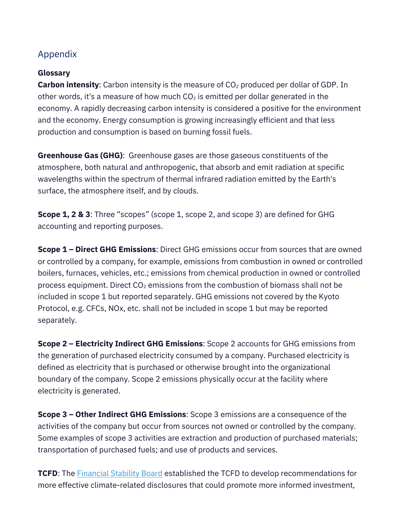# Appendix

#### **Glossary**

**Carbon intensity**: Carbon intensity is the measure of CO<sub>2</sub> produced per dollar of GDP. In other words, it's a measure of how much  $CO<sub>2</sub>$  is emitted per dollar generated in the economy. A rapidly decreasing carbon intensity is considered a positive for the environment and the economy. Energy consumption is growing increasingly efficient and that less production and consumption is based on burning fossil fuels.

**Greenhouse Gas (GHG)**: Greenhouse gases are those gaseous constituents of the atmosphere, both natural and anthropogenic, that absorb and emit radiation at specific wavelengths within the spectrum of thermal infrared radiation emitted by the Earth's surface, the atmosphere itself, and by clouds.

**Scope 1, 2 & 3**: Three "scopes" (scope 1, scope 2, and scope 3) are defined for GHG accounting and reporting purposes.

**Scope 1 – Direct GHG Emissions**: Direct GHG emissions occur from sources that are owned or controlled by a company, for example, emissions from combustion in owned or controlled boilers, furnaces, vehicles, etc.; emissions from chemical production in owned or controlled process equipment. Direct  $CO<sub>2</sub>$  emissions from the combustion of biomass shall not be included in scope 1 but reported separately. GHG emissions not covered by the Kyoto Protocol, e.g. CFCs, NOx, etc. shall not be included in scope 1 but may be reported separately.

**Scope 2 – Electricity Indirect GHG Emissions**: Scope 2 accounts for GHG emissions from the generation of purchased electricity consumed by a company. Purchased electricity is defined as electricity that is purchased or otherwise brought into the organizational boundary of the company. Scope 2 emissions physically occur at the facility where electricity is generated.

**Scope 3 – Other Indirect GHG Emissions**: Scope 3 emissions are a consequence of the activities of the company but occur from sources not owned or controlled by the company. Some examples of scope 3 activities are extraction and production of purchased materials; transportation of purchased fuels; and use of products and services.

**TCFD**: The **Financial Stability Board** established the TCFD to develop recommendations for more effective climate-related disclosures that could promote more informed investment,